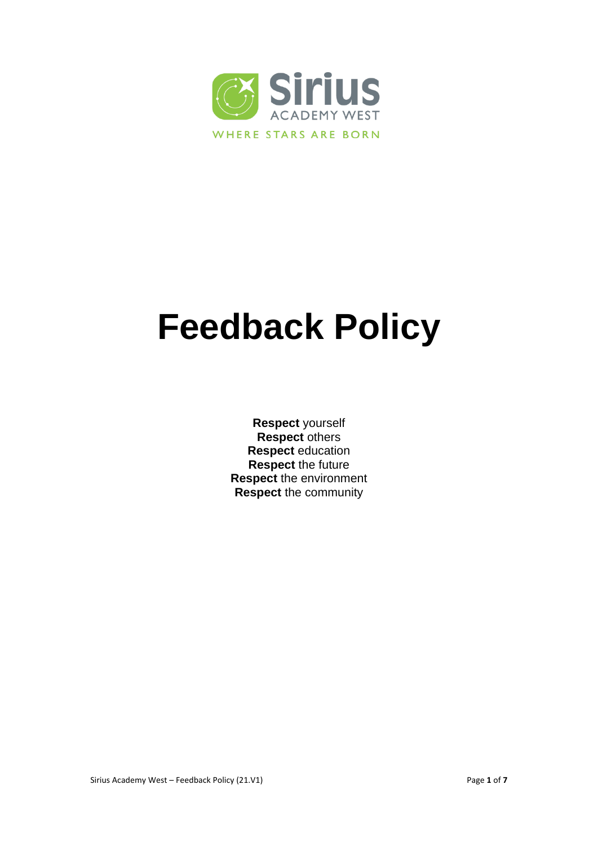

# **Feedback Policy**

**Respect** yourself **Respect** others **Respect** education **Respect** the future **Respect** the environment **Respect** the community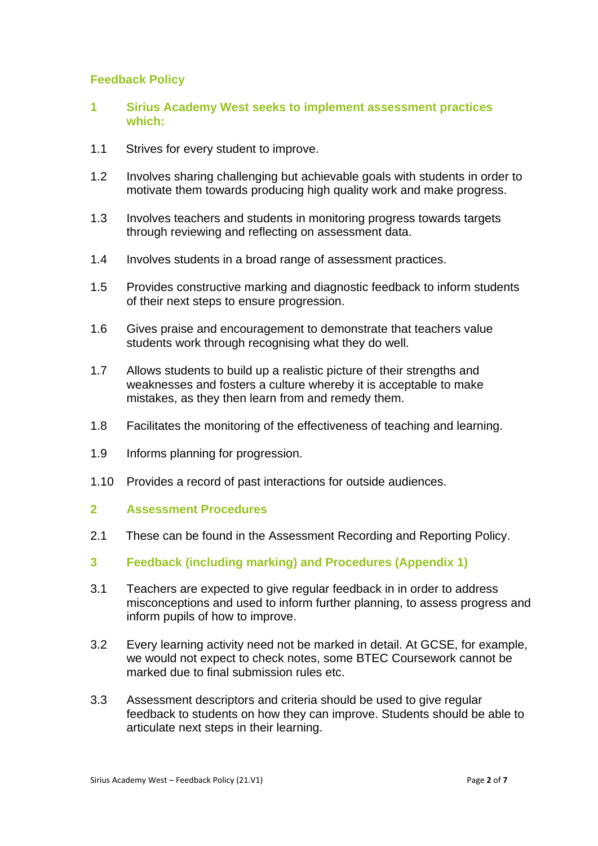#### **Feedback Policy**

- **1 Sirius Academy West seeks to implement assessment practices which:**
- 1.1 Strives for every student to improve.
- 1.2 Involves sharing challenging but achievable goals with students in order to motivate them towards producing high quality work and make progress.
- 1.3 Involves teachers and students in monitoring progress towards targets through reviewing and reflecting on assessment data.
- 1.4 Involves students in a broad range of assessment practices.
- 1.5 Provides constructive marking and diagnostic feedback to inform students of their next steps to ensure progression.
- 1.6 Gives praise and encouragement to demonstrate that teachers value students work through recognising what they do well.
- 1.7 Allows students to build up a realistic picture of their strengths and weaknesses and fosters a culture whereby it is acceptable to make mistakes, as they then learn from and remedy them.
- 1.8 Facilitates the monitoring of the effectiveness of teaching and learning.
- 1.9 Informs planning for progression.
- 1.10 Provides a record of past interactions for outside audiences.
- **2 Assessment Procedures**
- 2.1 These can be found in the Assessment Recording and Reporting Policy.
- **3 Feedback (including marking) and Procedures (Appendix 1)**
- 3.1 Teachers are expected to give regular feedback in in order to address misconceptions and used to inform further planning, to assess progress and inform pupils of how to improve.
- 3.2 Every learning activity need not be marked in detail. At GCSE, for example, we would not expect to check notes, some BTEC Coursework cannot be marked due to final submission rules etc.
- 3.3 Assessment descriptors and criteria should be used to give regular feedback to students on how they can improve. Students should be able to articulate next steps in their learning.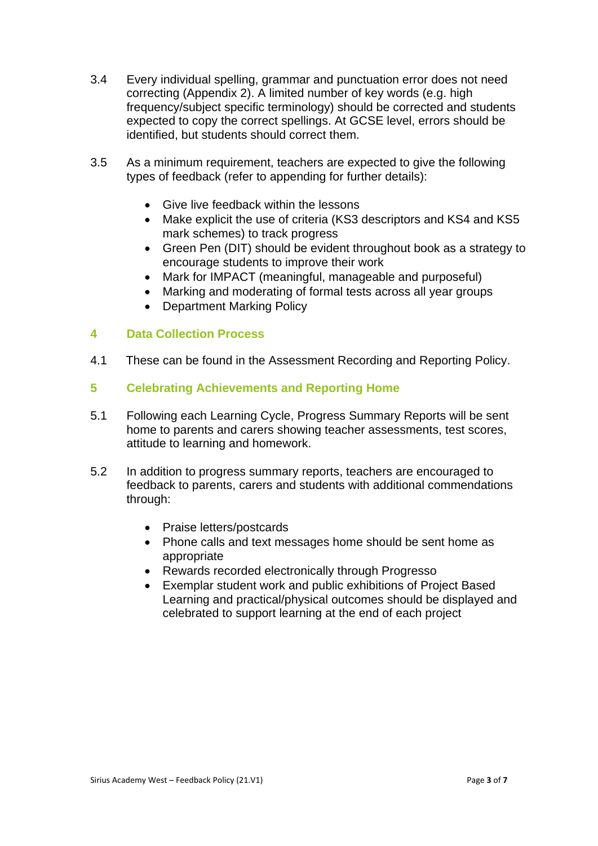- 3.4 Every individual spelling, grammar and punctuation error does not need correcting (Appendix 2). A limited number of key words (e.g. high frequency/subject specific terminology) should be corrected and students expected to copy the correct spellings. At GCSE level, errors should be identified, but students should correct them.
- 3.5 As a minimum requirement, teachers are expected to give the following types of feedback (refer to appending for further details):
	- Give live feedback within the lessons
	- Make explicit the use of criteria (KS3 descriptors and KS4 and KS5 mark schemes) to track progress
	- Green Pen (DIT) should be evident throughout book as a strategy to encourage students to improve their work
	- Mark for IMPACT (meaningful, manageable and purposeful)
	- Marking and moderating of formal tests across all year groups
	- Department Marking Policy

#### **4 Data Collection Process**

- 4.1 These can be found in the Assessment Recording and Reporting Policy.
- **5 Celebrating Achievements and Reporting Home**
- 5.1 Following each Learning Cycle, Progress Summary Reports will be sent home to parents and carers showing teacher assessments, test scores, attitude to learning and homework.
- 5.2 In addition to progress summary reports, teachers are encouraged to feedback to parents, carers and students with additional commendations through:
	- Praise letters/postcards
	- Phone calls and text messages home should be sent home as appropriate
	- Rewards recorded electronically through Progresso
	- Exemplar student work and public exhibitions of Project Based Learning and practical/physical outcomes should be displayed and celebrated to support learning at the end of each project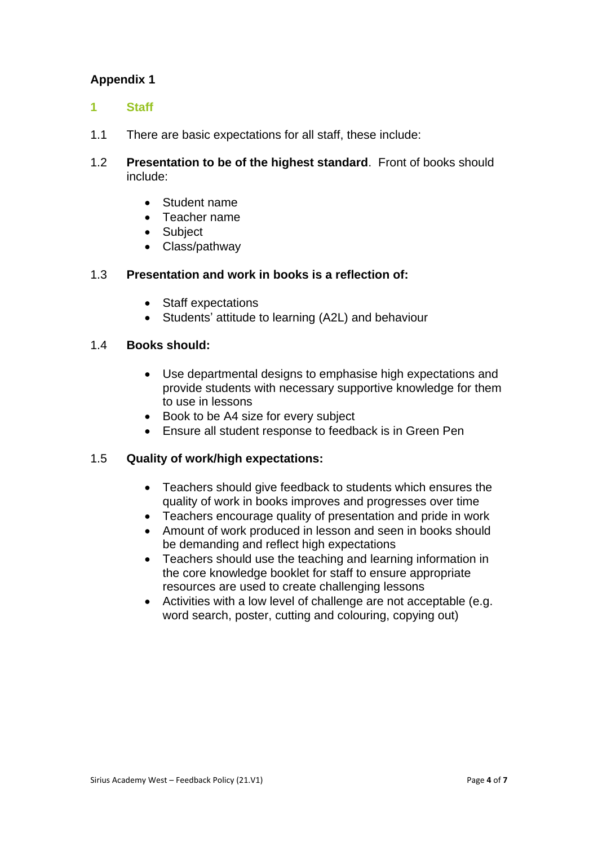# **Appendix 1**

- **1 Staff**
- 1.1 There are basic expectations for all staff, these include:
- 1.2 **Presentation to be of the highest standard**. Front of books should include:
	- Student name
	- Teacher name
	- Subject
	- Class/pathway

#### 1.3 **Presentation and work in books is a reflection of:**

- Staff expectations
- Students' attitude to learning (A2L) and behaviour

#### 1.4 **Books should:**

- Use departmental designs to emphasise high expectations and provide students with necessary supportive knowledge for them to use in lessons
- Book to be A4 size for every subject
- Ensure all student response to feedback is in Green Pen

#### 1.5 **Quality of work/high expectations:**

- Teachers should give feedback to students which ensures the quality of work in books improves and progresses over time
- Teachers encourage quality of presentation and pride in work
- Amount of work produced in lesson and seen in books should be demanding and reflect high expectations
- Teachers should use the teaching and learning information in the core knowledge booklet for staff to ensure appropriate resources are used to create challenging lessons
- Activities with a low level of challenge are not acceptable (e.g. word search, poster, cutting and colouring, copying out)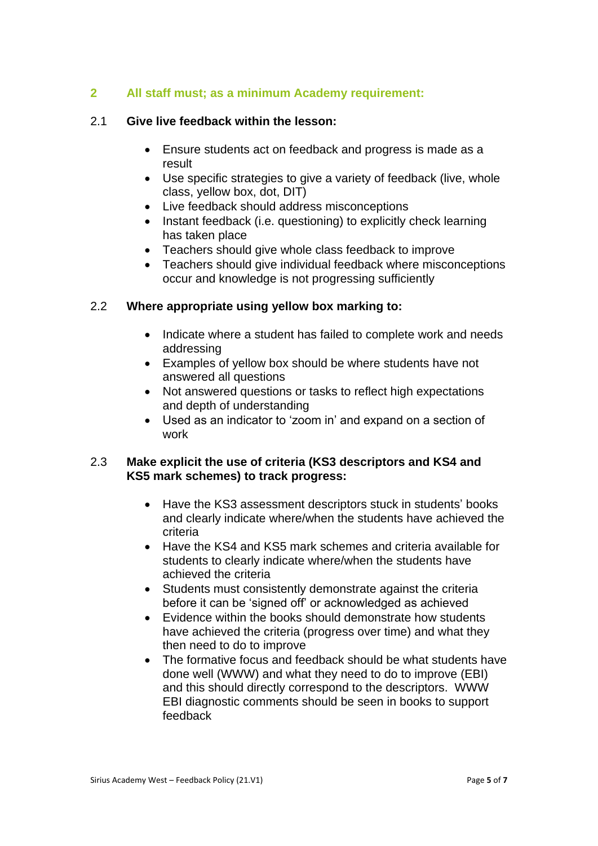### **2 All staff must; as a minimum Academy requirement:**

#### 2.1 **Give live feedback within the lesson:**

- Ensure students act on feedback and progress is made as a result
- Use specific strategies to give a variety of feedback (live, whole class, yellow box, dot, DIT)
- Live feedback should address misconceptions
- Instant feedback (i.e. questioning) to explicitly check learning has taken place
- Teachers should give whole class feedback to improve
- Teachers should give individual feedback where misconceptions occur and knowledge is not progressing sufficiently

#### 2.2 **Where appropriate using yellow box marking to:**

- Indicate where a student has failed to complete work and needs addressing
- Examples of yellow box should be where students have not answered all questions
- Not answered questions or tasks to reflect high expectations and depth of understanding
- Used as an indicator to 'zoom in' and expand on a section of work

#### 2.3 **Make explicit the use of criteria (KS3 descriptors and KS4 and KS5 mark schemes) to track progress:**

- Have the KS3 assessment descriptors stuck in students' books and clearly indicate where/when the students have achieved the criteria
- Have the KS4 and KS5 mark schemes and criteria available for students to clearly indicate where/when the students have achieved the criteria
- Students must consistently demonstrate against the criteria before it can be 'signed off' or acknowledged as achieved
- Evidence within the books should demonstrate how students have achieved the criteria (progress over time) and what they then need to do to improve
- The formative focus and feedback should be what students have done well (WWW) and what they need to do to improve (EBI) and this should directly correspond to the descriptors. WWW EBI diagnostic comments should be seen in books to support feedback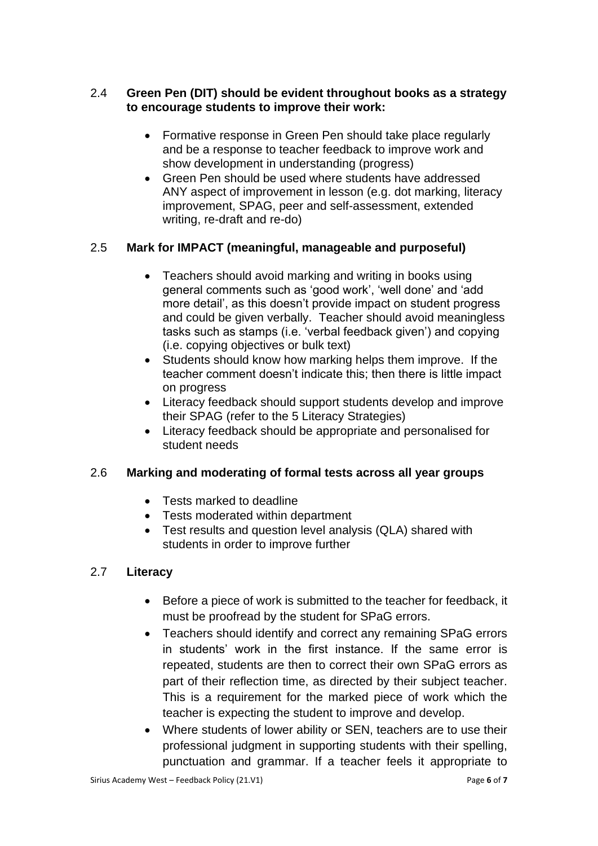## 2.4 **Green Pen (DIT) should be evident throughout books as a strategy to encourage students to improve their work:**

- Formative response in Green Pen should take place regularly and be a response to teacher feedback to improve work and show development in understanding (progress)
- Green Pen should be used where students have addressed ANY aspect of improvement in lesson (e.g. dot marking, literacy improvement, SPAG, peer and self-assessment, extended writing, re-draft and re-do)

## 2.5 **Mark for IMPACT (meaningful, manageable and purposeful)**

- Teachers should avoid marking and writing in books using general comments such as 'good work', 'well done' and 'add more detail', as this doesn't provide impact on student progress and could be given verbally. Teacher should avoid meaningless tasks such as stamps (i.e. 'verbal feedback given') and copying (i.e. copying objectives or bulk text)
- Students should know how marking helps them improve. If the teacher comment doesn't indicate this; then there is little impact on progress
- Literacy feedback should support students develop and improve their SPAG (refer to the 5 Literacy Strategies)
- Literacy feedback should be appropriate and personalised for student needs

## 2.6 **Marking and moderating of formal tests across all year groups**

- Tests marked to deadline
- Tests moderated within department
- Test results and question level analysis (QLA) shared with students in order to improve further

## 2.7 **Literacy**

- Before a piece of work is submitted to the teacher for feedback, it must be proofread by the student for SPaG errors.
- Teachers should identify and correct any remaining SPaG errors in students' work in the first instance. If the same error is repeated, students are then to correct their own SPaG errors as part of their reflection time, as directed by their subject teacher. This is a requirement for the marked piece of work which the teacher is expecting the student to improve and develop.
- Where students of lower ability or SEN, teachers are to use their professional judgment in supporting students with their spelling, punctuation and grammar. If a teacher feels it appropriate to